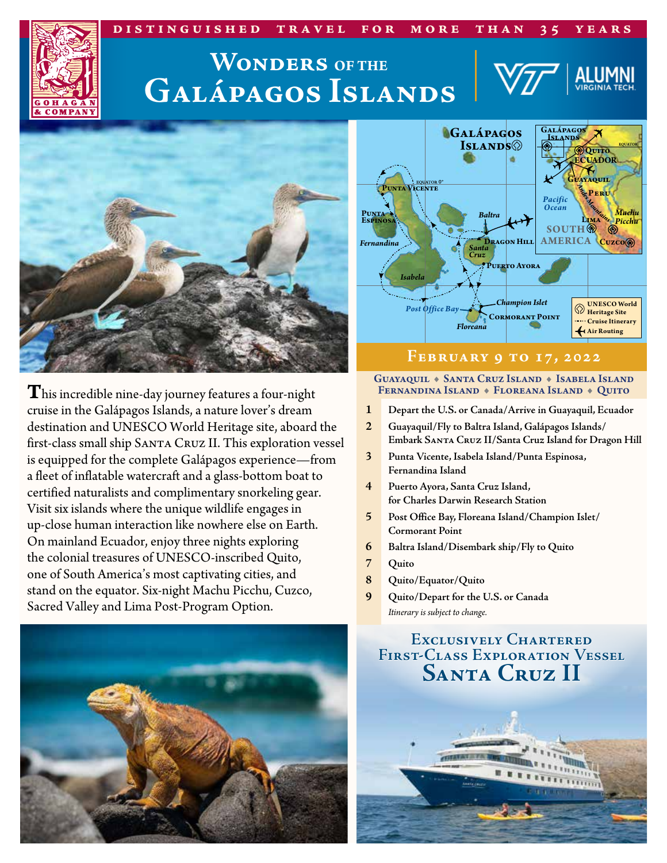### **distinguished travel for more than 35 years**

# **Galápagos Islands Wonders OF THE**





**T**his incredible nine-day journey features a four-night cruise in the Galápagos Islands, a nature lover's dream destination and UNESCO World Heritage site, aboard the first-class small ship SANTA CRUZ II. This exploration vessel is equipped for the complete Galápagos experience—from a fleet of inflatable watercraft and a glass-bottom boat to certified naturalists and complimentary snorkeling gear. Visit six islands where the unique wildlife engages in up-close human interaction like nowhere else on Earth. On mainland Ecuador, enjoy three nights exploring the colonial treasures of UNESCO-inscribed Quito, one of South America's most captivating cities, and stand on the equator. Six-night Machu Picchu, Cuzco, Sacred Valley and Lima Post-Program Option.





### **February 9 to 17, 2022**

#### GUAYAQUIL + SANTA CRUZ ISLAND + ISABELA ISLAND FERNANDINA ISLAND • FLOREANA ISLAND • QUITO

- **1 Depart the U.S. or Canada/Arrive in Guayaquil, Ecuador**
- **2 Guayaquil/Fly to Baltra Island, Galápagos Islands/ Embark Santa Cruz II/Santa Cruz Island for Dragon Hill**
- **3 Punta Vicente, Isabela Island/Punta Espinosa, Fernandina Island**
- **4 Puerto Ayora, Santa Cruz Island, for Charles Darwin Research Station**
- **5 Post Office Bay, Floreana Island/Champion Islet/ Cormorant Point**
- **6 Baltra Island/Disembark ship/Fly to Quito**
- **7 Quito**
- **8 Quito/Equator/Quito**
- **9 Quito/Depart for the U.S. or Canada** *Itinerary is subject to change.*

### **Exclusively Chartered First-Class Exploration Vessel Santa Cruz II**